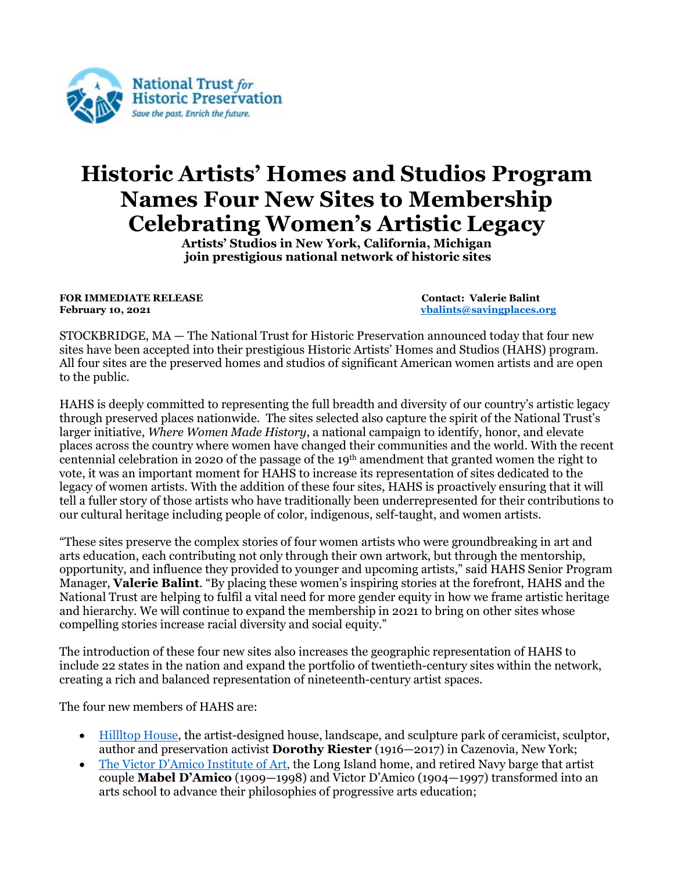

## **Historic Artists' Homes and Studios Program Names Four New Sites to Membership Celebrating Women's Artistic Legacy**

**Artists' Studios in New York, California, Michigan join prestigious national network of historic sites**

**FOR IMMEDIATE RELEASE** Contact: Valerie Balint<br> **February 10, 2021** Contact: Valerie Balint<br> **February 10, 2021** 

**February 10, 2021 [vbalints@savingplaces.org](mailto:vbalints@savingplaces.org)**

STOCKBRIDGE, MA — The National Trust for Historic Preservation announced today that four new sites have been accepted into their prestigious Historic Artists' Homes and Studios (HAHS) program. All four sites are the preserved homes and studios of significant American women artists and are open to the public.

HAHS is deeply committed to representing the full breadth and diversity of our country's artistic legacy through preserved places nationwide. The sites selected also capture the spirit of the National Trust's larger initiative, *Where Women Made History*, a national campaign to identify, honor, and elevate places across the country where women have changed their communities and the world. With the recent centennial celebration in 2020 of the passage of the 19<sup>th</sup> amendment that granted women the right to vote, it was an important moment for HAHS to increase its representation of sites dedicated to the legacy of women artists. With the addition of these four sites, HAHS is proactively ensuring that it will tell a fuller story of those artists who have traditionally been underrepresented for their contributions to our cultural heritage including people of color, indigenous, self-taught, and women artists.

"These sites preserve the complex stories of four women artists who were groundbreaking in art and arts education, each contributing not only through their own artwork, but through the mentorship, opportunity, and influence they provided to younger and upcoming artists," said HAHS Senior Program Manager, **Valerie Balint**. "By placing these women's inspiring stories at the forefront, HAHS and the National Trust are helping to fulfil a vital need for more gender equity in how we frame artistic heritage and hierarchy. We will continue to expand the membership in 2021 to bring on other sites whose compelling stories increase racial diversity and social equity."

The introduction of these four new sites also increases the geographic representation of HAHS to include 22 states in the nation and expand the portfolio of twentieth-century sites within the network, creating a rich and balanced representation of nineteenth-century artist spaces.

The four new members of HAHS are:

- [Hillltop House,](https://sqhap.org/hilltophouse) the artist-designed house, landscape, and sculpture park of ceramicist, sculptor, author and preservation activist **Dorothy Riester** (1916—2017) in Cazenovia, New York;
- The [Victor D'Amico Institute of Art,](https://theartbarge.org/) the Long Island home, and retired Navy barge that artist couple **Mabel D'Amico** (1909—1998) and Victor D'Amico (1904—1997) transformed into an arts school to advance their philosophies of progressive arts education;